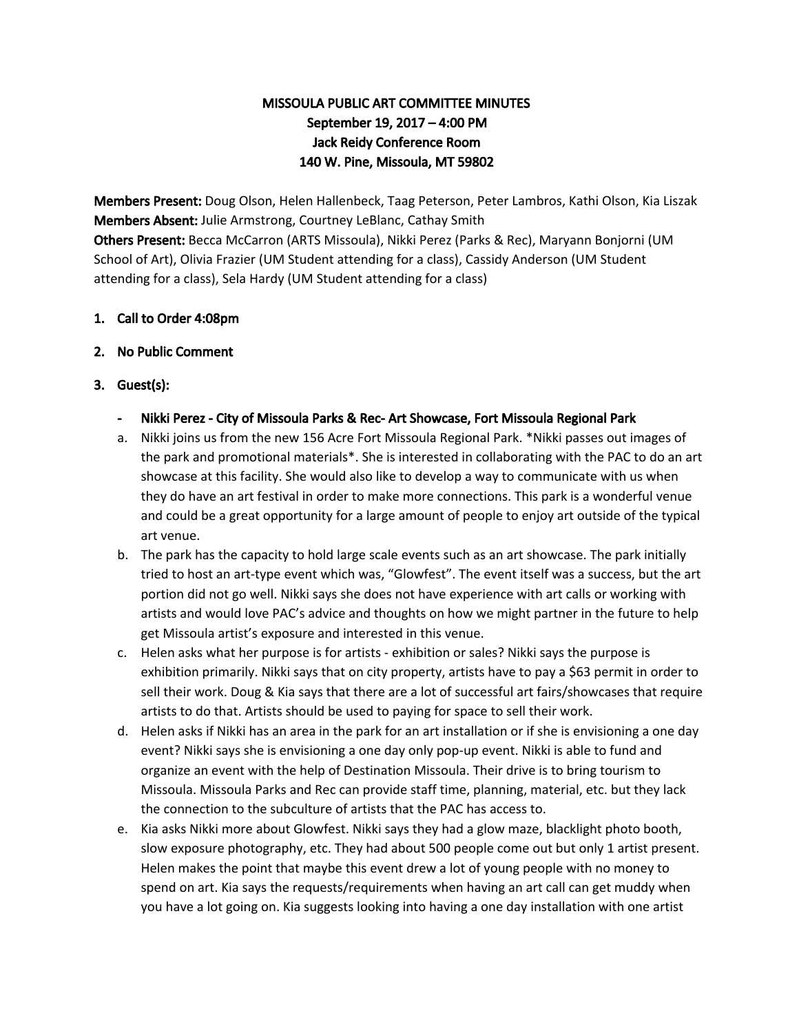# MISSOULA PUBLIC ART COMMITTEE MINUTES September 19, 2017 – 4:00 PM Jack Reidy Conference Room 140 W. Pine, Missoula, MT 59802

Members Present: Doug Olson, Helen Hallenbeck, Taag Peterson, Peter Lambros, Kathi Olson, Kia Liszak Members Absent: Julie Armstrong, Courtney LeBlanc, Cathay Smith Others Present: Becca McCarron (ARTS Missoula), Nikki Perez (Parks & Rec), Maryann Bonjorni (UM School of Art), Olivia Frazier (UM Student attending for a class), Cassidy Anderson (UM Student attending for a class), Sela Hardy (UM Student attending for a class)

### 1. Call to Order 4:08pm

#### 2. No Public Comment

### 3. Guest(s):

- Nikki Perez City of Missoula Parks & Rec- Art Showcase, Fort Missoula Regional Park
- a. Nikki joins us from the new 156 Acre Fort Missoula Regional Park. \*Nikki passes out images of the park and promotional materials\*. She is interested in collaborating with the PAC to do an art showcase at this facility. She would also like to develop a way to communicate with us when they do have an art festival in order to make more connections. This park is a wonderful venue and could be a great opportunity for a large amount of people to enjoy art outside of the typical art venue.
- b. The park has the capacity to hold large scale events such as an art showcase. The park initially tried to host an art-type event which was, "Glowfest". The event itself was a success, but the art portion did not go well. Nikki says she does not have experience with art calls or working with artists and would love PAC's advice and thoughts on how we might partner in the future to help get Missoula artist's exposure and interested in this venue.
- c. Helen asks what her purpose is for artists exhibition or sales? Nikki says the purpose is exhibition primarily. Nikki says that on city property, artists have to pay a \$63 permit in order to sell their work. Doug & Kia says that there are a lot of successful art fairs/showcases that require artists to do that. Artists should be used to paying for space to sell their work.
- d. Helen asks if Nikki has an area in the park for an art installation or if she is envisioning a one day event? Nikki says she is envisioning a one day only pop-up event. Nikki is able to fund and organize an event with the help of Destination Missoula. Their drive is to bring tourism to Missoula. Missoula Parks and Rec can provide staff time, planning, material, etc. but they lack the connection to the subculture of artists that the PAC has access to.
- e. Kia asks Nikki more about Glowfest. Nikki says they had a glow maze, blacklight photo booth, slow exposure photography, etc. They had about 500 people come out but only 1 artist present. Helen makes the point that maybe this event drew a lot of young people with no money to spend on art. Kia says the requests/requirements when having an art call can get muddy when you have a lot going on. Kia suggests looking into having a one day installation with one artist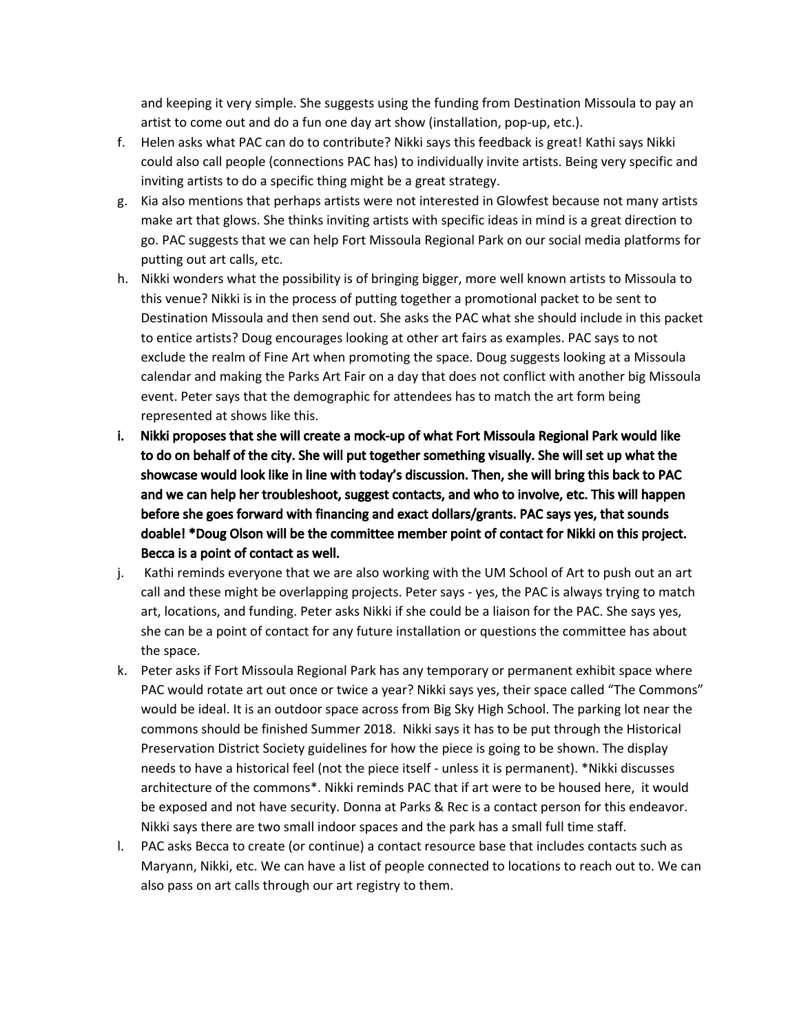and keeping it very simple. She suggests using the funding from Destination Missoula to pay an artist to come out and do a fun one day art show (installation, pop-up, etc.).

- f. Helen asks what PAC can do to contribute? Nikki says this feedback is great! Kathi says Nikki could also call people (connections PAC has) to individually invite artists. Being very specific and inviting artists to do a specific thing might be a great strategy.
- g. Kia also mentions that perhaps artists were not interested in Glowfest because not many artists make art that glows. She thinks inviting artists with specific ideas in mind is a great direction to go. PAC suggests that we can help Fort Missoula Regional Park on our social media platforms for putting out art calls, etc.
- h. Nikki wonders what the possibility is of bringing bigger, more well known artists to Missoula to this venue? Nikki is in the process of putting together a promotional packet to be sent to Destination Missoula and then send out. She asks the PAC what she should include in this packet to entice artists? Doug encourages looking at other art fairs as examples. PAC says to not exclude the realm of Fine Art when promoting the space. Doug suggests looking at a Missoula calendar and making the Parks Art Fair on a day that does not conflict with another big Missoula event. Peter says that the demographic for attendees has to match the art form being represented at shows like this.
- i. Nikki proposes that she will create a mock-up of what Fort Missoula Regional Park would like to do on behalf of the city. She will put together something visually. She will set up what the showcase would look like in line with today's discussion. Then, she will bring this back to PAC and we can help her troubleshoot, suggest contacts, and who to involve, etc. This will happen before she goes forward with financing and exact dollars/grants. PAC says yes, that sounds doable! \*Doug Olson will be the committee member point of contact for Nikki on this project. Becca is a point of contact as well.
- j. Kathi reminds everyone that we are also working with the UM School of Art to push out an art call and these might be overlapping projects. Peter says - yes, the PAC is always trying to match art, locations, and funding. Peter asks Nikki if she could be a liaison for the PAC. She says yes, she can be a point of contact for any future installation or questions the committee has about the space.
- k. Peter asks if Fort Missoula Regional Park has any temporary or permanent exhibit space where PAC would rotate art out once or twice a year? Nikki says yes, their space called "The Commons" would be ideal. It is an outdoor space across from Big Sky High School. The parking lot near the commons should be finished Summer 2018. Nikki says it has to be put through the Historical Preservation District Society guidelines for how the piece is going to be shown. The display needs to have a historical feel (not the piece itself - unless it is permanent). \*Nikki discusses architecture of the commons\*. Nikki reminds PAC that if art were to be housed here, it would be exposed and not have security. Donna at Parks & Rec is a contact person for this endeavor. Nikki says there are two small indoor spaces and the park has a small full time staff.
- l. PAC asks Becca to create (or continue) a contact resource base that includes contacts such as Maryann, Nikki, etc. We can have a list of people connected to locations to reach out to. We can also pass on art calls through our art registry to them.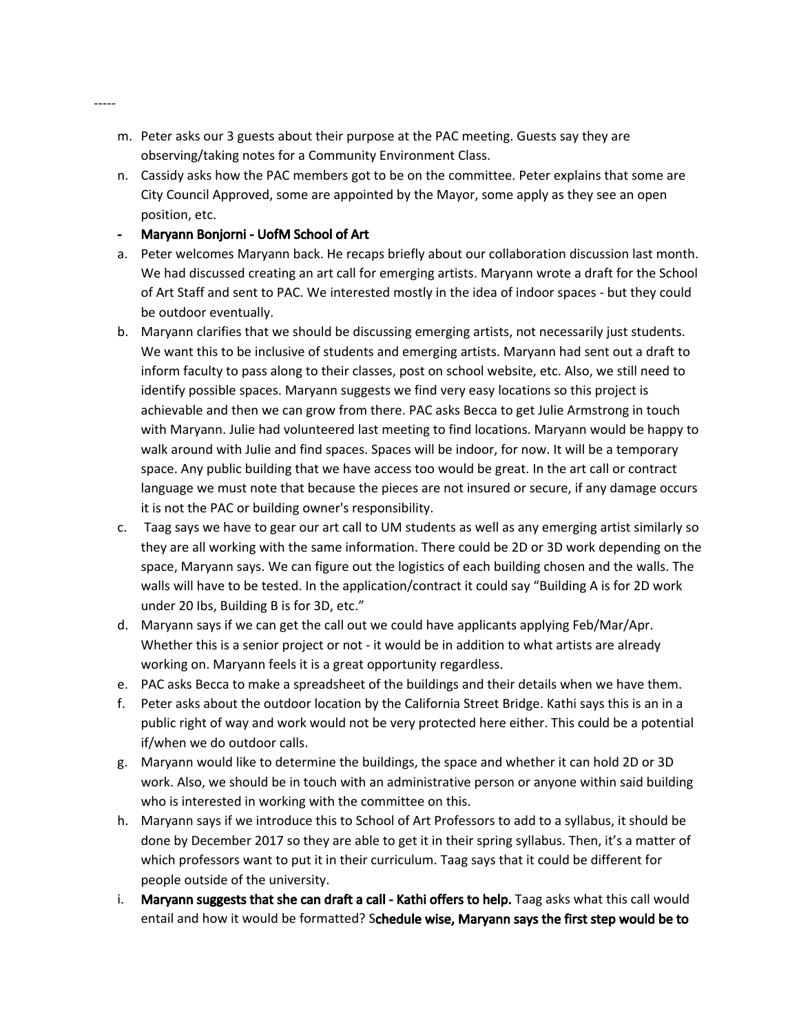- m. Peter asks our 3 guests about their purpose at the PAC meeting. Guests say they are observing/taking notes for a Community Environment Class.
- n. Cassidy asks how the PAC members got to be on the committee. Peter explains that some are City Council Approved, some are appointed by the Mayor, some apply as they see an open position, etc.

#### - Maryann Bonjorni - UofM School of Art

-----

- a. Peter welcomes Maryann back. He recaps briefly about our collaboration discussion last month. We had discussed creating an art call for emerging artists. Maryann wrote a draft for the School of Art Staff and sent to PAC. We interested mostly in the idea of indoor spaces - but they could be outdoor eventually.
- b. Maryann clarifies that we should be discussing emerging artists, not necessarily just students. We want this to be inclusive of students and emerging artists. Maryann had sent out a draft to inform faculty to pass along to their classes, post on school website, etc. Also, we still need to identify possible spaces. Maryann suggests we find very easy locations so this project is achievable and then we can grow from there. PAC asks Becca to get Julie Armstrong in touch with Maryann. Julie had volunteered last meeting to find locations. Maryann would be happy to walk around with Julie and find spaces. Spaces will be indoor, for now. It will be a temporary space. Any public building that we have access too would be great. In the art call or contract language we must note that because the pieces are not insured or secure, if any damage occurs it is not the PAC or building owner's responsibility.
- c. Taag says we have to gear our art call to UM students as well as any emerging artist similarly so they are all working with the same information. There could be 2D or 3D work depending on the space, Maryann says. We can figure out the logistics of each building chosen and the walls. The walls will have to be tested. In the application/contract it could say "Building A is for 2D work under 20 Ibs, Building B is for 3D, etc."
- d. Maryann says if we can get the call out we could have applicants applying Feb/Mar/Apr. Whether this is a senior project or not - it would be in addition to what artists are already working on. Maryann feels it is a great opportunity regardless.
- e. PAC asks Becca to make a spreadsheet of the buildings and their details when we have them.
- f. Peter asks about the outdoor location by the California Street Bridge. Kathi says this is an in a public right of way and work would not be very protected here either. This could be a potential if/when we do outdoor calls.
- g. Maryann would like to determine the buildings, the space and whether it can hold 2D or 3D work. Also, we should be in touch with an administrative person or anyone within said building who is interested in working with the committee on this.
- h. Maryann says if we introduce this to School of Art Professors to add to a syllabus, it should be done by December 2017 so they are able to get it in their spring syllabus. Then, it's a matter of which professors want to put it in their curriculum. Taag says that it could be different for people outside of the university.
- i. Maryann suggests that she can draft a call Kathi offers to help. Taag asks what this call would entail and how it would be formatted? Schedule wise, Maryann says the first step would be to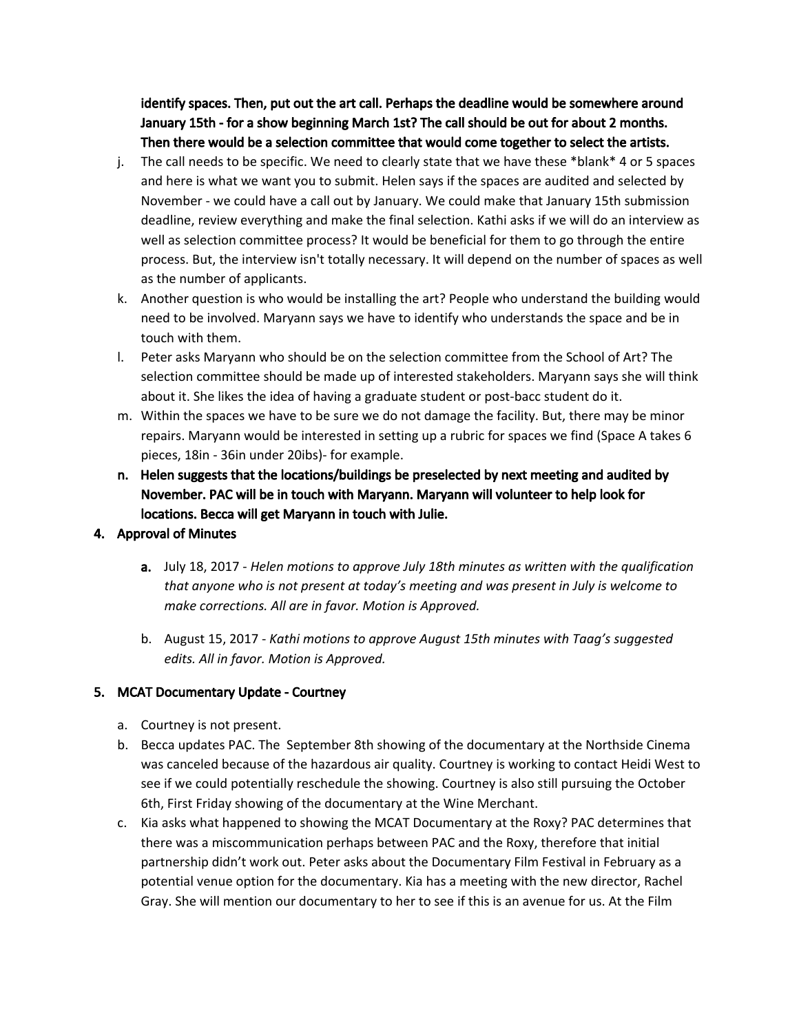identify spaces. Then, put out the art call. Perhaps the deadline would be somewhere around January 15th - for a show beginning March 1st? The call should be out for about 2 months. Then there would be a selection committee that would come together to select the artists.

- j. The call needs to be specific. We need to clearly state that we have these \*blank\* 4 or 5 spaces and here is what we want you to submit. Helen says if the spaces are audited and selected by November - we could have a call out by January. We could make that January 15th submission deadline, review everything and make the final selection. Kathi asks if we will do an interview as well as selection committee process? It would be beneficial for them to go through the entire process. But, the interview isn't totally necessary. It will depend on the number of spaces as well as the number of applicants.
- k. Another question is who would be installing the art? People who understand the building would need to be involved. Maryann says we have to identify who understands the space and be in touch with them.
- l. Peter asks Maryann who should be on the selection committee from the School of Art? The selection committee should be made up of interested stakeholders. Maryann says she will think about it. She likes the idea of having a graduate student or post-bacc student do it.
- m. Within the spaces we have to be sure we do not damage the facility. But, there may be minor repairs. Maryann would be interested in setting up a rubric for spaces we find (Space A takes 6 pieces, 18in - 36in under 20ibs)- for example.
- n. Helen suggests that the locations/buildings be preselected by next meeting and audited by November. PAC will be in touch with Maryann. Maryann will volunteer to help look for locations. Becca will get Maryann in touch with Julie.

### 4. Approval of Minutes

- a. July 18, 2017 *Helen motions to approve July 18th minutes as written with the qualification that anyone who is not present at today's meeting and was present in July is welcome to make corrections. All are in favor. Motion is Approved.*
- b. August 15, 2017 *Kathi motions to approve August 15th minutes with Taag's suggested edits. All in favor. Motion is Approved.*

### 5. MCAT Documentary Update - Courtney

- a. Courtney is not present.
- b. Becca updates PAC. The September 8th showing of the documentary at the Northside Cinema was canceled because of the hazardous air quality. Courtney is working to contact Heidi West to see if we could potentially reschedule the showing. Courtney is also still pursuing the October 6th, First Friday showing of the documentary at the Wine Merchant.
- c. Kia asks what happened to showing the MCAT Documentary at the Roxy? PAC determines that there was a miscommunication perhaps between PAC and the Roxy, therefore that initial partnership didn't work out. Peter asks about the Documentary Film Festival in February as a potential venue option for the documentary. Kia has a meeting with the new director, Rachel Gray. She will mention our documentary to her to see if this is an avenue for us. At the Film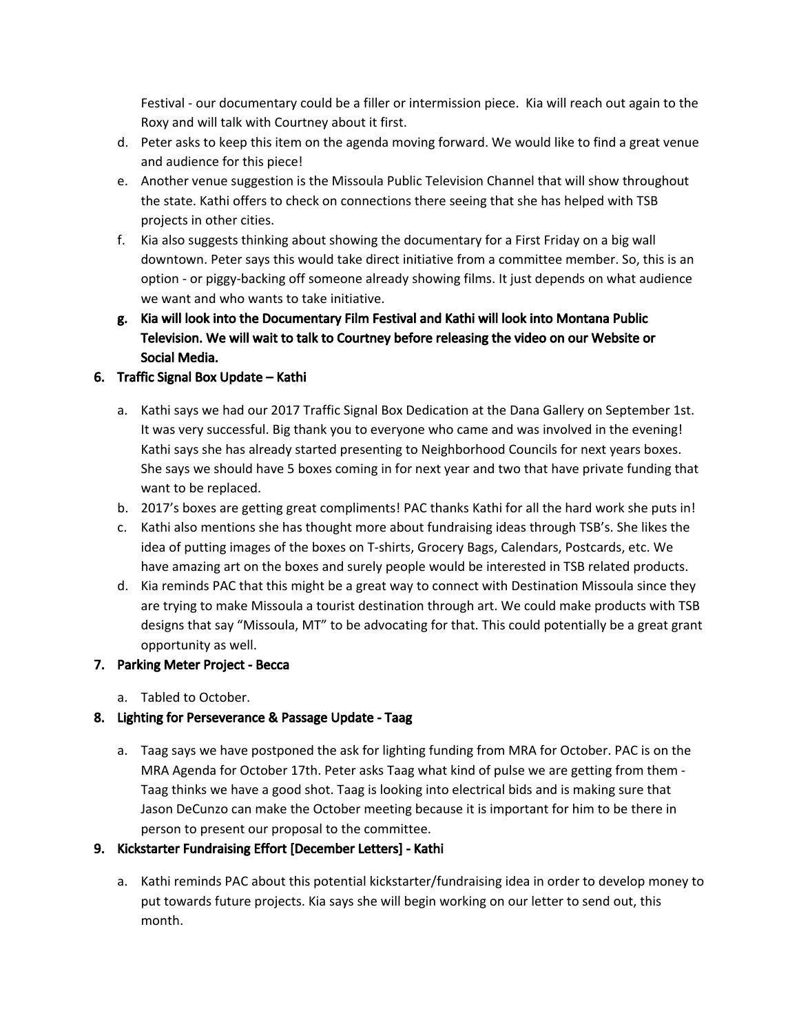Festival - our documentary could be a filler or intermission piece. Kia will reach out again to the Roxy and will talk with Courtney about it first.

- d. Peter asks to keep this item on the agenda moving forward. We would like to find a great venue and audience for this piece!
- e. Another venue suggestion is the Missoula Public Television Channel that will show throughout the state. Kathi offers to check on connections there seeing that she has helped with TSB projects in other cities.
- f. Kia also suggests thinking about showing the documentary for a First Friday on a big wall downtown. Peter says this would take direct initiative from a committee member. So, this is an option - or piggy-backing off someone already showing films. It just depends on what audience we want and who wants to take initiative.
- g. Kia will look into the Documentary Film Festival and Kathi will look into Montana Public Television. We will wait to talk to Courtney before releasing the video on our Website or Social Media.

### 6. Traffic Signal Box Update – Kathi

- a. Kathi says we had our 2017 Traffic Signal Box Dedication at the Dana Gallery on September 1st. It was very successful. Big thank you to everyone who came and was involved in the evening! Kathi says she has already started presenting to Neighborhood Councils for next years boxes. She says we should have 5 boxes coming in for next year and two that have private funding that want to be replaced.
- b. 2017's boxes are getting great compliments! PAC thanks Kathi for all the hard work she puts in!
- c. Kathi also mentions she has thought more about fundraising ideas through TSB's. She likes the idea of putting images of the boxes on T-shirts, Grocery Bags, Calendars, Postcards, etc. We have amazing art on the boxes and surely people would be interested in TSB related products.
- d. Kia reminds PAC that this might be a great way to connect with Destination Missoula since they are trying to make Missoula a tourist destination through art. We could make products with TSB designs that say "Missoula, MT" to be advocating for that. This could potentially be a great grant opportunity as well.

#### 7. Parking Meter Project - Becca

a. Tabled to October.

### 8. Lighting for Perseverance & Passage Update - Taag

a. Taag says we have postponed the ask for lighting funding from MRA for October. PAC is on the MRA Agenda for October 17th. Peter asks Taag what kind of pulse we are getting from them - Taag thinks we have a good shot. Taag is looking into electrical bids and is making sure that Jason DeCunzo can make the October meeting because it is important for him to be there in person to present our proposal to the committee.

#### 9. Kickstarter Fundraising Effort [December Letters] - Kathi

a. Kathi reminds PAC about this potential kickstarter/fundraising idea in order to develop money to put towards future projects. Kia says she will begin working on our letter to send out, this month.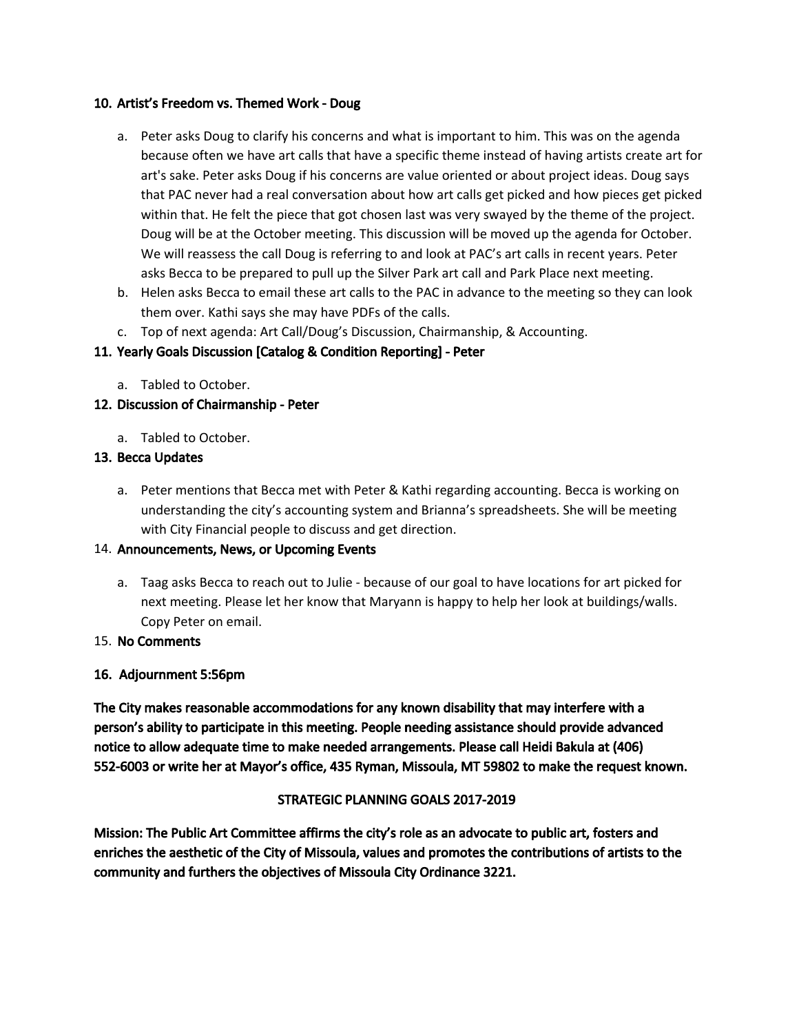#### 10. Artist's Freedom vs. Themed Work - Doug

- a. Peter asks Doug to clarify his concerns and what is important to him. This was on the agenda because often we have art calls that have a specific theme instead of having artists create art for art's sake. Peter asks Doug if his concerns are value oriented or about project ideas. Doug says that PAC never had a real conversation about how art calls get picked and how pieces get picked within that. He felt the piece that got chosen last was very swayed by the theme of the project. Doug will be at the October meeting. This discussion will be moved up the agenda for October. We will reassess the call Doug is referring to and look at PAC's art calls in recent years. Peter asks Becca to be prepared to pull up the Silver Park art call and Park Place next meeting.
- b. Helen asks Becca to email these art calls to the PAC in advance to the meeting so they can look them over. Kathi says she may have PDFs of the calls.
- c. Top of next agenda: Art Call/Doug's Discussion, Chairmanship, & Accounting.

# 11. Yearly Goals Discussion [Catalog & Condition Reporting] - Peter

a. Tabled to October.

# 12. Discussion of Chairmanship - Peter

a. Tabled to October.

### 13. Becca Updates

a. Peter mentions that Becca met with Peter & Kathi regarding accounting. Becca is working on understanding the city's accounting system and Brianna's spreadsheets. She will be meeting with City Financial people to discuss and get direction.

### 14. Announcements, News, or Upcoming Events

a. Taag asks Becca to reach out to Julie - because of our goal to have locations for art picked for next meeting. Please let her know that Maryann is happy to help her look at buildings/walls. Copy Peter on email.

### 15. No Comments

### 16. Adjournment 5:56pm

The City makes reasonable accommodations for any known disability that may interfere with a person's ability to participate in this meeting. People needing assistance should provide advanced notice to allow adequate time to make needed arrangements. Please call Heidi Bakula at (406) 552-6003 or write her at Mayor's office, 435 Ryman, Missoula, MT 59802 to make the request known.

### STRATEGIC PLANNING GOALS 2017-2019

Mission: The Public Art Committee affirms the city's role as an advocate to public art, fosters and enriches the aesthetic of the City of Missoula, values and promotes the contributions of artists to the community and furthers the objectives of Missoula City Ordinance 3221.